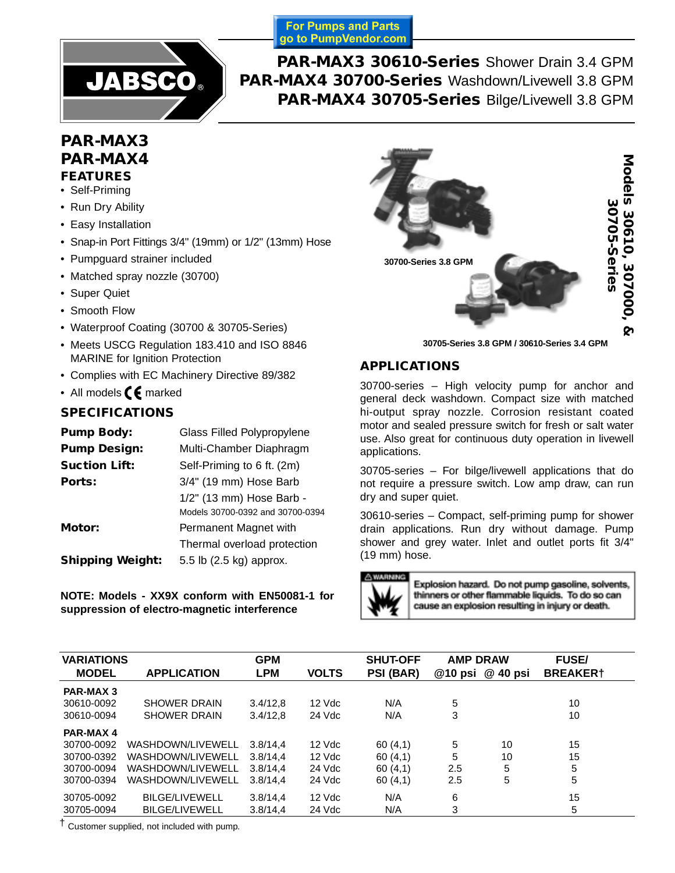**For Pumps and Parts** go to PumpVendor.com



**PAR-MAX3 30610-Series** Shower Drain 3.4 GPM **PAR-MAX4 30700-Series** Washdown/Livewell 3.8 GPM **PAR-MAX4 30705-Series** Bilge/Livewell 3.8 GPM

# **PAR-MAX3 PAR-MAX4 FEATURES**

- Self-Priming
- Run Dry Ability
- Easy Installation
- Snap-in Port Fittings 3/4" (19mm) or 1/2" (13mm) Hose
- Pumpguard strainer included
- Matched spray nozzle (30700)
- Super Quiet
- Smooth Flow
- Waterproof Coating (30700 & 30705-Series)
- Meets USCG Regulation 183.410 and ISO 8846 MARINE for Ignition Protection
- Complies with EC Machinery Directive 89/382
- All models  $\epsilon$  marked

# **SPECIFICATIONS**

| Glass Filled Polypropylene       |
|----------------------------------|
| Multi-Chamber Diaphragm          |
| Self-Priming to 6 ft. (2m)       |
| 3/4" (19 mm) Hose Barb           |
| 1/2" (13 mm) Hose Barb -         |
| Models 30700-0392 and 30700-0394 |
| Permanent Magnet with            |
| Thermal overload protection      |
| 5.5 lb (2.5 kg) approx.          |
|                                  |

**NOTE: Models - XX9X conform with EN50081-1 for suppression of electro-magnetic interference**



**30705-Series 3.8 GPM / 30610-Series 3.4 GPM**

# **APPLICATIONS**

30700-series – High velocity pump for anchor and general deck washdown. Compact size with matched hi-output spray nozzle. Corrosion resistant coated motor and sealed pressure switch for fresh or salt water use. Also great for continuous duty operation in livewell applications.

30705-series – For bilge/livewell applications that do not require a pressure switch. Low amp draw, can run dry and super quiet.

30610-series – Compact, self-priming pump for shower drain applications. Run dry without damage. Pump shower and grey water. Inlet and outlet ports fit 3/4" (19 mm) hose.



Explosion hazard. Do not pump gasoline, solvents, thinners or other flammable liquids. To do so can cause an explosion resulting in injury or death.

| <b>VARIATIONS</b> |                       | <b>GPM</b> |              | <b>SHUT-OFF</b> | <b>AMP DRAW</b> |                  | <b>FUSE/</b>    |  |
|-------------------|-----------------------|------------|--------------|-----------------|-----------------|------------------|-----------------|--|
| <b>MODEL</b>      | <b>APPLICATION</b>    | <b>LPM</b> | <b>VOLTS</b> | PSI (BAR)       |                 | @10 psi @ 40 psi | <b>BREAKER†</b> |  |
| <b>PAR-MAX 3</b>  |                       |            |              |                 |                 |                  |                 |  |
| 30610-0092        | <b>SHOWER DRAIN</b>   | 3.4/12.8   | $12$ Vdc     | N/A             | 5               |                  | 10              |  |
| 30610-0094        | <b>SHOWER DRAIN</b>   | 3.4/12.8   | 24 Vdc       | N/A             | 3               |                  | 10              |  |
| <b>PAR-MAX 4</b>  |                       |            |              |                 |                 |                  |                 |  |
| 30700-0092        | WASHDOWN/LIVEWELL     | 3.8/14.4   | 12 Vdc       | 60(4,1)         | 5               | 10               | 15              |  |
| 30700-0392        | WASHDOWN/LIVEWELL     | 3.8/14.4   | 12 Vdc       | 60(4,1)         | 5               | 10               | 15              |  |
| 30700-0094        | WASHDOWN/LIVEWELL     | 3.8/14.4   | 24 Vdc       | 60(4,1)         | 2.5             | 5                | 5               |  |
| 30700-0394        | WASHDOWN/LIVEWELL     | 3.8/14.4   | 24 Vdc       | 60(4,1)         | 2.5             | 5                | 5               |  |
| 30705-0092        | <b>BILGE/LIVEWELL</b> | 3.8/14,4   | $12$ Vdc     | N/A             | 6               |                  | 15              |  |
| 30705-0094        | <b>BILGE/LIVEWELL</b> | 3.8/14.4   | 24 Vdc       | N/A             | 3               |                  | 5               |  |

† Customer supplied, not included with pump.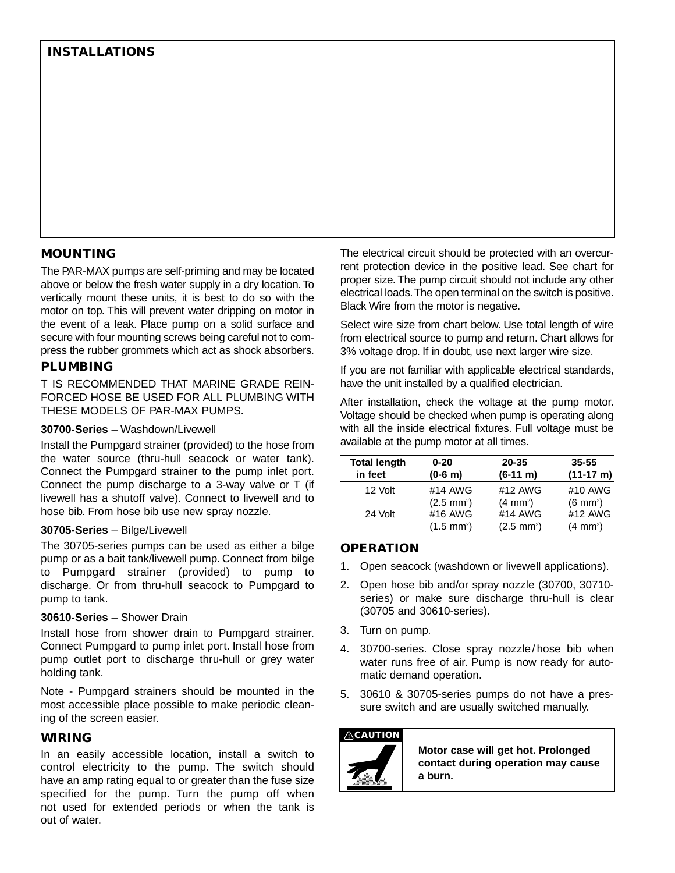# **MOUNTING**

The PAR-MAX pumps are self-priming and may be located above or below the fresh water supply in a dry location. To vertically mount these units, it is best to do so with the motor on top. This will prevent water dripping on motor in the event of a leak. Place pump on a solid surface and secure with four mounting screws being careful not to compress the rubber grommets which act as shock absorbers.

## **PLUMBING**

T IS RECOMMENDED THAT MARINE GRADE REIN-FORCED HOSE BE USED FOR ALL PLUMBING WITH THESE MODELS OF PAR-MAX PUMPS.

#### **30700-Series** – Washdown/Livewell

Install the Pumpgard strainer (provided) to the hose from the water source (thru-hull seacock or water tank). Connect the Pumpgard strainer to the pump inlet port. Connect the pump discharge to a 3-way valve or T (if livewell has a shutoff valve). Connect to livewell and to hose bib. From hose bib use new spray nozzle.

#### **30705-Series** – Bilge/Livewell

The 30705-series pumps can be used as either a bilge pump or as a bait tank/livewell pump. Connect from bilge to Pumpgard strainer (provided) to pump to discharge. Or from thru-hull seacock to Pumpgard to pump to tank.

#### **30610-Series** – Shower Drain

Install hose from shower drain to Pumpgard strainer. Connect Pumpgard to pump inlet port. Install hose from pump outlet port to discharge thru-hull or grey water holding tank.

Note - Pumpgard strainers should be mounted in the most accessible place possible to make periodic cleaning of the screen easier.

#### **WIRING**

In an easily accessible location, install a switch to control electricity to the pump. The switch should have an amp rating equal to or greater than the fuse size specified for the pump. Turn the pump off when not used for extended periods or when the tank is out of water.

The electrical circuit should be protected with an overcurrent protection device in the positive lead. See chart for proper size. The pump circuit should not include any other electrical loads.The open terminal on the switch is positive. Black Wire from the motor is negative.

Select wire size from chart below. Use total length of wire from electrical source to pump and return. Chart allows for 3% voltage drop. If in doubt, use next larger wire size.

If you are not familiar with applicable electrical standards, have the unit installed by a qualified electrician.

After installation, check the voltage at the pump motor. Voltage should be checked when pump is operating along with all the inside electrical fixtures. Full voltage must be available at the pump motor at all times.

| <b>Total length</b><br>in feet | $0 - 20$<br>$(0-6 \, \text{m})$ | 20-35<br>$(6-11 \; \text{m})$ | $35 - 55$<br>$(11-17 \text{ m})$ |
|--------------------------------|---------------------------------|-------------------------------|----------------------------------|
| 12 Volt                        | #14 AWG                         | #12 AWG                       | #10 AWG                          |
|                                | $(2.5 \text{ mm}^2)$            | $(4 \, \text{mm}^2)$          | $(6 \text{ mm}^2)$               |
| 24 Volt                        | #16 AWG                         | #14 AWG                       | #12 AWG                          |
|                                | $(1.5 \text{ mm}^2)$            | $(2.5 \text{ mm}^2)$          | $(4 \, \text{mm}^2)$             |

# **OPERATION**

- 1. Open seacock (washdown or livewell applications).
- 2. Open hose bib and/or spray nozzle (30700, 30710 series) or make sure discharge thru-hull is clear (30705 and 30610-series).
- 3. Turn on pump.
- 4. 30700-series. Close spray nozzle/ hose bib when water runs free of air. Pump is now ready for automatic demand operation.
- 5. 30610 & 30705-series pumps do not have a pressure switch and are usually switched manually.

### **CAUTION**



**Motor case will get hot. Prolonged contact during operation may cause a burn.**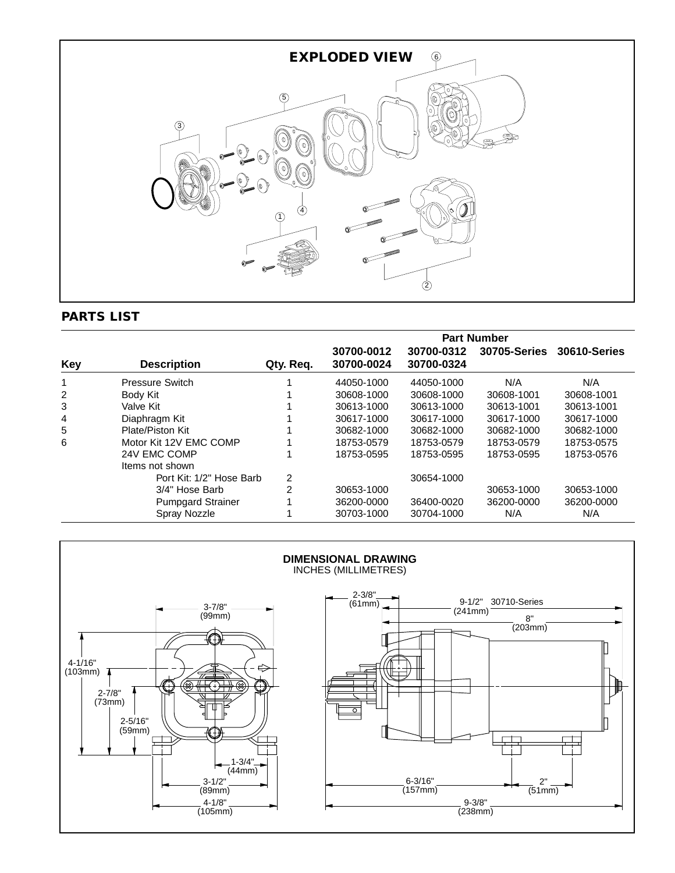

# **PARTS LIST**

|            |                          |                | <b>Part Number</b>       |                          |                     |                     |
|------------|--------------------------|----------------|--------------------------|--------------------------|---------------------|---------------------|
| <b>Key</b> | <b>Description</b>       | Qty. Req.      | 30700-0012<br>30700-0024 | 30700-0312<br>30700-0324 | <b>30705-Series</b> | <b>30610-Series</b> |
|            | <b>Pressure Switch</b>   |                | 44050-1000               | 44050-1000               | N/A                 | N/A                 |
| 2          | Body Kit                 |                | 30608-1000               | 30608-1000               | 30608-1001          | 30608-1001          |
| 3          | Valve Kit                |                | 30613-1000               | 30613-1000               | 30613-1001          | 30613-1001          |
| 4          | Diaphragm Kit            |                | 30617-1000               | 30617-1000               | 30617-1000          | 30617-1000          |
| 5          | Plate/Piston Kit         |                | 30682-1000               | 30682-1000               | 30682-1000          | 30682-1000          |
| 6          | Motor Kit 12V EMC COMP   |                | 18753-0579               | 18753-0579               | 18753-0579          | 18753-0575          |
|            | 24V EMC COMP             |                | 18753-0595               | 18753-0595               | 18753-0595          | 18753-0576          |
|            | Items not shown          |                |                          |                          |                     |                     |
|            | Port Kit: 1/2" Hose Barb | 2              |                          | 30654-1000               |                     |                     |
|            | 3/4" Hose Barb           | $\mathfrak{p}$ | 30653-1000               |                          | 30653-1000          | 30653-1000          |
|            | <b>Pumpgard Strainer</b> |                | 36200-0000               | 36400-0020               | 36200-0000          | 36200-0000          |
|            | Spray Nozzle             |                | 30703-1000               | 30704-1000               | N/A                 | N/A                 |